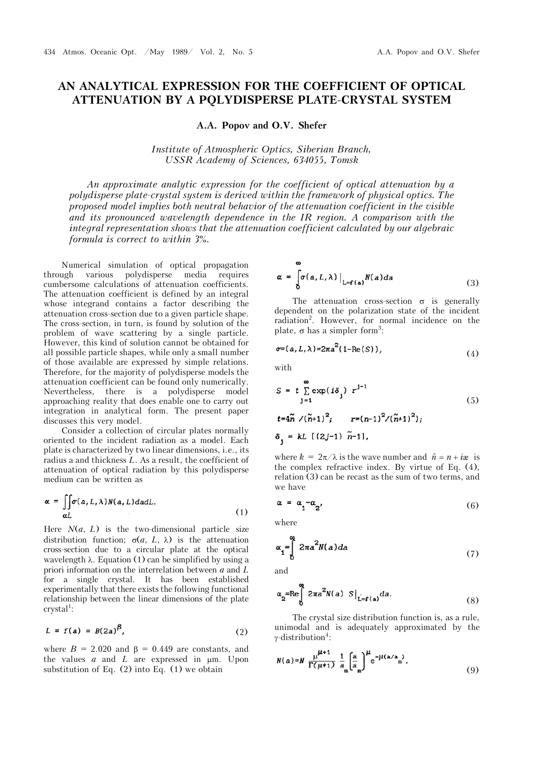## **AN ANALYTICAL EXPRESSION FOR THE COEFFICIENT OF OPTICAL ATTENUATION BY A PQLYDISPERSE PLATE-CRYSTAL SYSTEM**

A.A. Popov and O.V. Shefer

*Institute of Atmospheric Optics, Siberian Branch, USSR Academy of Sciences, 634055, Tomsk* 

*An approximate analytic expression for the coefficient of optical attenuation by a polydisperse plate-crystal system is derived within the framework of physical optics. The proposed model implies both neutral behavior of the attenuation coefficient in the visible*  and its pronounced wavelength dependence in the IR region. A comparison with the integral representation shows that the attenuation coefficient calculated by our algebraic *formula is correct to within 3*%*.*

Numerical simulation of optical propagation through various polydisperse media requires cumbersome calculations of attenuation coefficients. The attenuation coefficient is defined by an integral whose integrand contains a factor describing the attenuation cross-section due to a given particle shape. The cross-section, in turn, is found by solution of the problem of wave scattering by a single particle. However, this kind of solution cannot be obtained for all possible particle shapes, while only a small number of those available are expressed by simple relations. Therefore, for the majority of polydisperse models the attenuation coefficient can be found only numerically. Nevertheless, there is a polydisperse model approaching reality that does enable one to carry out integration in analytical form. The present paper discusses this very model.

Consider a collection of circular plates normally oriented to the incident radiation as a model. Each plate is characterized by two linear dimensions, i.e., its radius a and thickness *L*. As a result, the coefficient of attenuation of optical radiation by this polydisperse medium can be written as

$$
\alpha = \iint_{\alpha L} \sigma(a, L, \lambda) N(a, L) da dL.
$$
 (1)

Here  $N(a, L)$  is the two-dimensional particle size distribution function;  $\sigma(a, L, \lambda)$  is the attenuation cross-section due to a circular plate at the optical wavelength  $\lambda$ . Equation (1) can be simplified by using a priori information on the interrelation between *a* and *L* for a single crystal. It has been established experimentally that there exists the following functional relationship between the linear dimensions of the plate crystal<sup>1</sup>:

$$
L = f(a) = B(2a)^{\beta}, \qquad (2)
$$

where  $B = 2.020$  and  $\beta = 0.449$  are constants, and the values  $a$  and  $L$  are expressed in  $\mu$ m. Upon substitution of Eq.  $(2)$  into Eq.  $(1)$  we obtain

$$
\alpha = \int_{0}^{\infty} \sigma(a, L, \lambda) \Big|_{L=f(a)} N(a) da \tag{3}
$$

The attenuation cross-section  $\sigma$  is generally dependent on the polarization state of the incident radiation<sup>2</sup> . However, for normal incidence on the plate,  $\sigma$  has a simpler form<sup>3</sup>:

$$
\sigma = (a, L, \lambda) = 2\pi a^2 (1 - \text{Re}(S)), \tag{4}
$$

with

$$
S = t \sum_{j=1}^{\infty} \exp(i\delta_j) r^{j-1}
$$
  
\n
$$
t = 4\tilde{n} / (\tilde{n} + 1)^2; \qquad r = (n-1)^2 / (\tilde{n} + 1)^2);
$$
\n(5)

$$
\delta_{1} = kL \, [(2j-1) \, \tilde{n}-1]
$$

where  $k = 2\pi/\lambda$  is the wave number and  $\tilde{n} = n + i\mathbf{\hat{x}}$  is the complex refractive index. By virtue of Eq. (4), relation (3) can be recast as the sum of two terms, and we have

$$
\alpha = \alpha_1 - \alpha_2 \tag{6}
$$

where

$$
\alpha_1 = \int_1^{\infty} 2\pi a^2 N(a) da \tag{7}
$$

and

$$
\alpha_2 = \text{Re}\int\limits_0^\infty 2\pi a^2 N(a) S\big|_{L=f(a)} da. \tag{8}
$$

The crystal size distribution function is, as a rule, unimodal and is adequately approximated by the  $\gamma$ -distribution<sup>4</sup>:

$$
N(a)=N \frac{\mu^{\mu+1}}{\Gamma(\mu+1)} \frac{1}{a_m} \left(\frac{a}{a_m}\right)^{\mu} e^{-\mu(a/a_m)}.
$$
 (9)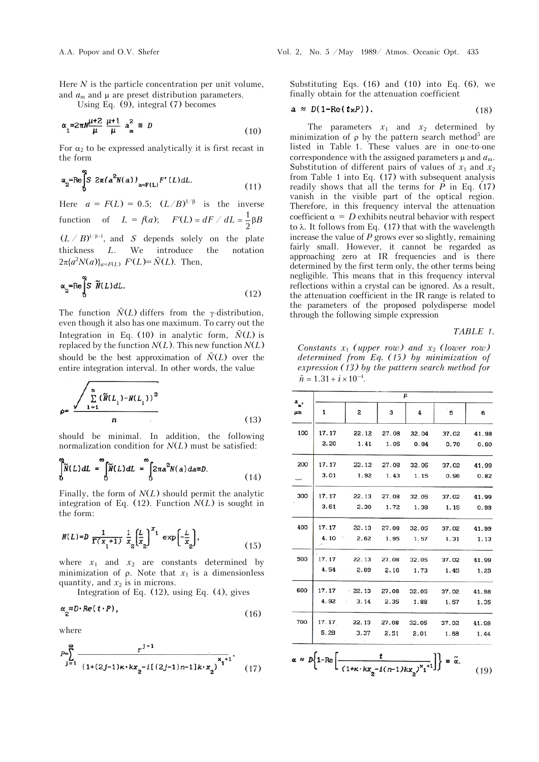Here *N* is the particle concentration per unit volume, and  $a_m$  and  $\mu$  are preset distribution parameters.

Using Eq.  $(9)$ , integral  $(7)$  becomes

$$
\alpha_1 = 2\pi N \frac{\mu + 2}{\mu} \frac{\mu + 1}{\mu} a_m^2 \equiv D \tag{10}
$$

For  $\alpha_2$  to be expressed analytically it is first recast in the form

$$
\alpha_2 = \text{Re}\int_0^2 S 2\pi \{a^2 N(a)\}_{a = F(L)} F'(L) dL. \tag{11}
$$

Here  $a = F(L) = 0.5; (L/B)^{1/\beta}$  is the inverse function of  $L = f(a);$   $F'(L) = dF / dL = \frac{1}{2} \beta B$ 

 $(L \, / \, B)^{\cup \beta - 1}$ , and *S* depends solely on the plate thickness *L*. We introduce the notation  $2\pi \{a^2 N(a)\}_{a=F(L)}$   $F'(L) = \tilde{N}(L)$ . Then,

$$
\alpha_2 = \text{Re}\int_0^2 S \widetilde{N}(L) dL. \tag{12}
$$

The function  $\tilde{N}(L)$  differs from the  $\gamma$ -distribution, even though it also has one maximum. To carry out the Integration in Eq. (10) in analytic form,  $\tilde{N}(L)$  is replaced by the function  $N(L)$ . This new function  $N(L)$ should be the best approximation of  $\tilde{N}(L)$  over the entire integration interval. In other words, the value

$$
\rho = \frac{\sum_{1=1}^{n} (\tilde{N}(L_1) - N(L_1))^2}{n}
$$
\n(13)

should be minimal. In addition, the following normalization condition for *N*(*L*) must be satisfied:

$$
\int_{0}^{\infty} \widetilde{N}(L) dL = \int_{0}^{\infty} \widetilde{N}(L) dL = \int_{0}^{\infty} 2\pi a^{2} N(a) da \equiv D.
$$
 (14)

Finally, the form of *N*(*L*) should permit the analytic integration of Eq.  $(12)$ . Function  $N(L)$  is sought in the form:

$$
N(L)=D \frac{1}{\Gamma(x_1+1)} \frac{1}{x_2} \left(\frac{L}{x_2}\right)^{x_1} \exp\left(-\frac{L}{x_2}\right),\tag{15}
$$

where  $x_1$  and  $x_2$  are constants determined by minimization of  $\rho$ . Note that  $x_1$  is a dimensionless quantity, and  $x_2$  is in microns.

Integration of Eq. (12), using Eq. (4), gives

$$
\alpha_2^{\approx D \cdot Re(t \cdot P)},\tag{16}
$$

where

$$
P = \sum_{j=1}^{\infty} \frac{r^{j-1}}{(1+(2j-1)\kappa \cdot k x_2 - i[(2j-1)n-1]k \cdot x_2)^{x_1+1}}.
$$
 (17)

Substituting Eqs. (16) and (10) into Eq. (6), we finally obtain for the attenuation coefficient

$$
a \approx D(1-\text{Re}(t_{x}P)). \tag{18}
$$

The parameters  $x_1$  and  $x_2$  determined by minimization of  $\rho$  by the pattern search method<sup>5</sup> are listed in Table 1. These values are in one-to-one correspondence with the assigned parameters  $\mu$  and  $a_m$ . Substitution of different pairs of values of  $x_1$  and  $x_2$ from Table 1 into Eq. (17) with subsequent analysis readily shows that all the terms for  $P$  in Eq. (17) vanish in the visible part of the optical region. Therefore, in this frequency interval the attenuation coefficient  $\alpha = D$  exhibits neutral behavior with respect to  $\lambda$ . It follows from Eq. (17) that with the wavelength increase the value of *P* grows ever so slightly, remaining fairly small. However, it cannot be regarded as approaching zero at IR frequencies and is there determined by the first term only, the other terms being negligible. This means that in this frequency interval reflections within a crystal can be ignored. As a result, the attenuation coefficient in the IR range is related to the parameters of the proposed polydisperse model through the following simple expression

## *TABLE 1.*

*Constants x*1 *(upper row) and x*2 *(lower row) determined from Eq. (15) by minimization of expression (13) by the pattern search method for*  $\tilde{n} = 1.31 + i \times 10^{-4}$ .

|          | $\mu$ |                                     |           |           |             |       |
|----------|-------|-------------------------------------|-----------|-----------|-------------|-------|
| а,<br>μm | 1     | 2                                   | 3         | 4         | 5           | 6     |
| 100      | 17.17 | 22.12 27.08 32.04                   |           |           | 37.02       | 41.98 |
|          | 2.20  | 1.41                                | 1.05      | 0.84      | 0.70        | 0.60  |
| 200      |       | 17.17 22.12 27.08 32.05             |           |           | 37.02       | 41.99 |
|          | 3.01  | 1.92                                | 1.43      | 1.15      | 0.96        | 0.82  |
| 300      | 17.17 | 22.13 27.08                         |           |           | 32.05 37.02 | 41.99 |
|          | 3.61  | 2.30                                | 1.72      | 1.38      | 1.15        | 0.99  |
| 400      | 17.17 | 22.13 27.08 32.05 37.02             |           |           |             | 41.99 |
|          | 4.10  | 2.62 1.95                           |           | 1.57 1.31 |             | 1.13  |
| 500      | 17.17 | 22.13 27.08 32.05 37.02             |           |           |             | 41.99 |
|          | 4.54  | 2.89<br>$\sim$                      | 2.16      | 1.73 1.45 |             | 1.25  |
| 600      |       | 17.17 22.13 27.08 32.05 37.02       |           |           |             | 41.98 |
|          | 4.92  | 3.14                                | 2.35 1.88 |           | 1.57        | 1.35  |
| 700      |       | 17.17 22.13 27.08 32.05 37.02 41.98 |           |           |             |       |
|          | 5.28  | 3.37                                | 2.51      | 2.01 1.68 |             | 1.44  |
|          |       |                                     |           |           |             |       |

$$
\alpha \approx D\left\{1-\text{Re}\left[\frac{t}{(1+\kappa\cdot kx_2 - i(n-1)kx_2)^{x_1+1}}\right]\right\} = \tilde{\alpha}.
$$
 (19)